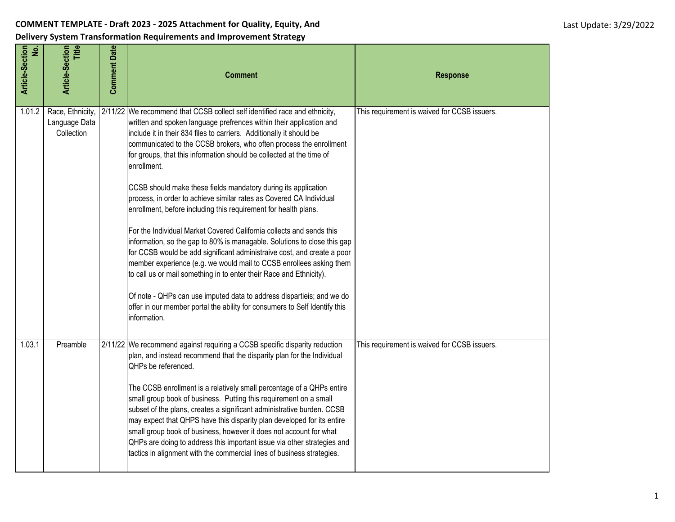## **COMMENT TEMPLATE - Draft 2023 - 2025 Attachment for Quality, Equity, And**

**Delivery System Transformation Requirements and Improvement Strategy**

| Article-Section<br>$\dot{\mathbf{z}}$ | <b>Title</b><br>Article-Section                 | <b>Comment Date</b> | <b>Comment</b>                                                                                                                                                                                                                                                                                                                                                                                                                                                                                                                                                                                                                                                                                                                                                                                                                                                                                                                                                                                                                                                                                                                                         | <b>Response</b>                              |
|---------------------------------------|-------------------------------------------------|---------------------|--------------------------------------------------------------------------------------------------------------------------------------------------------------------------------------------------------------------------------------------------------------------------------------------------------------------------------------------------------------------------------------------------------------------------------------------------------------------------------------------------------------------------------------------------------------------------------------------------------------------------------------------------------------------------------------------------------------------------------------------------------------------------------------------------------------------------------------------------------------------------------------------------------------------------------------------------------------------------------------------------------------------------------------------------------------------------------------------------------------------------------------------------------|----------------------------------------------|
| 1.01.2                                | Race, Ethnicity,<br>Language Data<br>Collection |                     | 2/11/22 We recommend that CCSB collect self identified race and ethnicity,<br>written and spoken language prefrences within their application and<br>include it in their 834 files to carriers. Additionally it should be<br>communicated to the CCSB brokers, who often process the enrollment<br>for groups, that this information should be collected at the time of<br>enrollment.<br>CCSB should make these fields mandatory during its application<br>process, in order to achieve similar rates as Covered CA Individual<br>enrollment, before including this requirement for health plans.<br>For the Individual Market Covered California collects and sends this<br>information, so the gap to 80% is managable. Solutions to close this gap<br>for CCSB would be add significant administraive cost, and create a poor<br>member experience (e.g. we would mail to CCSB enrollees asking them<br>to call us or mail something in to enter their Race and Ethnicity).<br>Of note - QHPs can use imputed data to address dispartieis; and we do<br>offer in our member portal the ability for consumers to Self Identify this<br>information. | This requirement is waived for CCSB issuers. |
| 1.03.1                                | Preamble                                        |                     | 2/11/22 We recommend against requiring a CCSB specific disparity reduction<br>plan, and instead recommend that the disparity plan for the Individual<br>QHPs be referenced.<br>The CCSB enrollment is a relatively small percentage of a QHPs entire<br>small group book of business. Putting this requirement on a small<br>subset of the plans, creates a significant administrative burden. CCSB<br>may expect that QHPS have this disparity plan developed for its entire<br>small group book of business, however it does not account for what<br>QHPs are doing to address this important issue via other strategies and<br>tactics in alignment with the commercial lines of business strategies.                                                                                                                                                                                                                                                                                                                                                                                                                                               | This requirement is waived for CCSB issuers. |